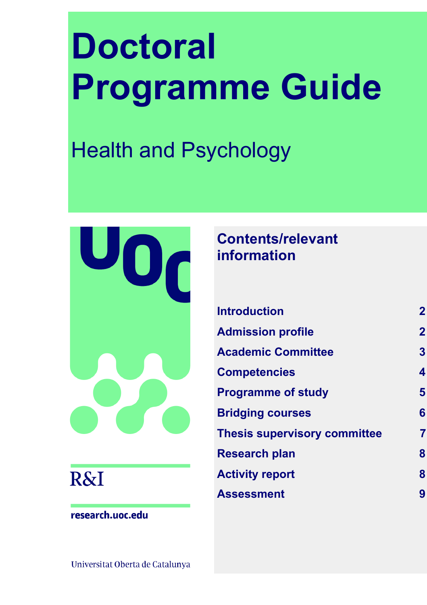# **Doctoral Programme Guide**

# Health and Psychology



## **R&I**

research.uoc.edu

## **Contents/relevant information**

| <b>Introduction</b>                 | $\mathbf{2}$            |
|-------------------------------------|-------------------------|
| <b>Admission profile</b>            | $\mathbf{2}$            |
| <b>Academic Committee</b>           | $\overline{\mathbf{3}}$ |
| Competencies                        | 4                       |
| <b>Programme of study</b>           | 5                       |
| <b>Bridging courses</b>             | 6                       |
| <b>Thesis supervisory committee</b> |                         |
| <b>Research plan</b>                | 8                       |
| <b>Activity report</b>              | 8                       |
| Assessment                          |                         |

Universitat Oberta de Catalunya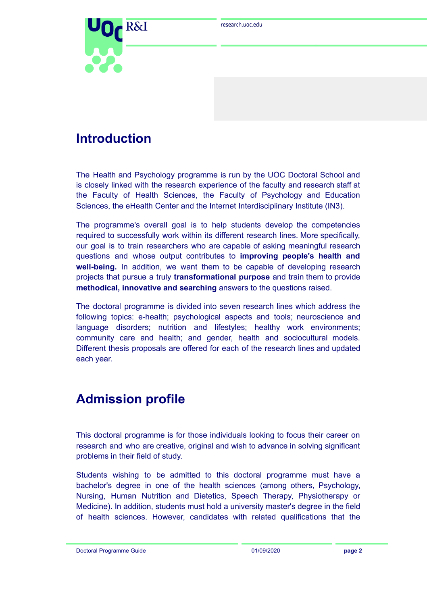

## <span id="page-1-0"></span>**Introduction**

The Health and Psychology programme is run by the UOC Doctoral School and is closely linked with the research experience of the faculty and research staff at the Faculty of Health Sciences, the Faculty of Psychology and Education Sciences, the eHealth Center and the Internet Interdisciplinary Institute (IN3).

The programme's overall goal is to help students develop the competencies required to successfully work within its different research lines. More specifically, our goal is to train researchers who are capable of asking meaningful research questions and whose output contributes to **improving people's health and well-being.** In addition, we want them to be capable of developing research projects that pursue a truly **transformational purpose** and train them to provide **methodical, innovative and searching** answers to the questions raised.

The doctoral programme is divided into seven research lines which address the following topics: e-health; psychological aspects and tools; neuroscience and language disorders; nutrition and lifestyles; healthy work environments; community care and health; and gender, health and sociocultural models. Different thesis proposals are offered for each of the research lines and updated each year.

## <span id="page-1-1"></span>**Admission profile**

This doctoral programme is for those individuals looking to focus their career on research and who are creative, original and wish to advance in solving significant problems in their field of study.

Students wishing to be admitted to this doctoral programme must have a bachelor's degree in one of the health sciences (among others, Psychology, Nursing, Human Nutrition and Dietetics, Speech Therapy, Physiotherapy or Medicine). In addition, students must hold a university master's degree in the field of health sciences. However, candidates with related qualifications that the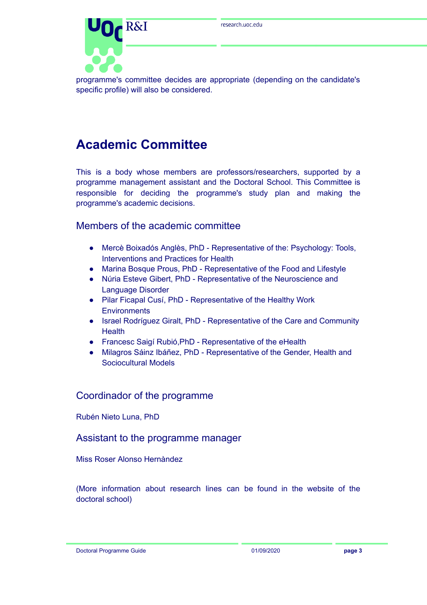

programme's committee decides are appropriate (depending on the candidate's specific profile) will also be considered.

## <span id="page-2-0"></span>**Academic Committee**

This is a body whose members are professors/researchers, supported by a programme management assistant and the Doctoral School. This Committee is responsible for deciding the programme's study plan and making the programme's academic decisions.

#### Members of the academic committee

- Mercè Boixadós Anglès, PhD Representative of the: Psychology: Tools, Interventions and Practices for Health
- Marina Bosque Prous, PhD Representative of the Food and Lifestyle
- Núria Esteve Gibert, PhD Representative of the Neuroscience and Language Disorder
- Pilar Ficapal Cusí, PhD Representative of the Healthy Work **Environments**
- Israel Rodríguez Giralt, PhD Representative of the Care and Community **Health**
- Francesc Saigí Rubió,PhD Representative of the eHealth
- Milagros Sáinz Ibáñez, PhD Representative of the Gender, Health and Sociocultural Models

#### Coordinador of the programme

Rubén Nieto Luna, PhD

#### Assistant to the programme manager

Miss Roser Alonso Hernàndez

(More information about research lines can be found in the website of the doctoral school)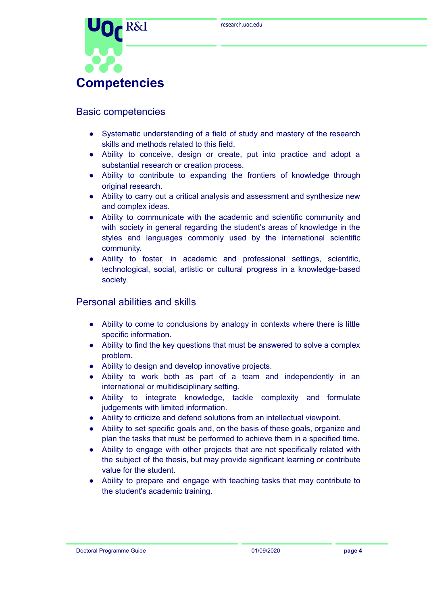

#### <span id="page-3-0"></span>Basic competencies

- Systematic understanding of a field of study and mastery of the research skills and methods related to this field.
- Ability to conceive, design or create, put into practice and adopt a substantial research or creation process.
- Ability to contribute to expanding the frontiers of knowledge through original research.
- Ability to carry out a critical analysis and assessment and synthesize new and complex ideas.
- Ability to communicate with the academic and scientific community and with society in general regarding the student's areas of knowledge in the styles and languages commonly used by the international scientific community.
- Ability to foster, in academic and professional settings, scientific, technological, social, artistic or cultural progress in a knowledge-based society.

#### Personal abilities and skills

- Ability to come to conclusions by analogy in contexts where there is little specific information.
- Ability to find the key questions that must be answered to solve a complex problem.
- Ability to design and develop innovative projects.
- Ability to work both as part of a team and independently in an international or multidisciplinary setting.
- Ability to integrate knowledge, tackle complexity and formulate judgements with limited information.
- Ability to criticize and defend solutions from an intellectual viewpoint.
- Ability to set specific goals and, on the basis of these goals, organize and plan the tasks that must be performed to achieve them in a specified time.
- Ability to engage with other projects that are not specifically related with the subject of the thesis, but may provide significant learning or contribute value for the student.
- Ability to prepare and engage with teaching tasks that may contribute to the student's academic training.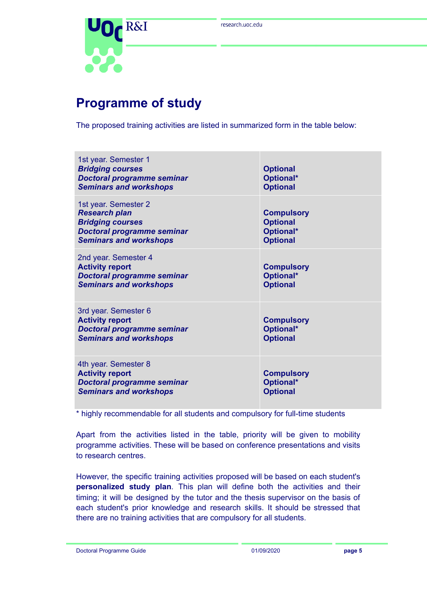

## <span id="page-4-0"></span>**Programme of study**

The proposed training activities are listed in summarized form in the table below:

| 1st year. Semester 1<br><b>Bridging courses</b><br><b>Doctoral programme seminar</b><br><b>Seminars and workshops</b>                         | <b>Optional</b><br>Optional*<br><b>Optional</b>                      |
|-----------------------------------------------------------------------------------------------------------------------------------------------|----------------------------------------------------------------------|
| 1st year. Semester 2<br><b>Research plan</b><br><b>Bridging courses</b><br><b>Doctoral programme seminar</b><br><b>Seminars and workshops</b> | <b>Compulsory</b><br><b>Optional</b><br>Optional*<br><b>Optional</b> |
| 2nd year. Semester 4<br><b>Activity report</b><br><b>Doctoral programme seminar</b><br><b>Seminars and workshops</b>                          | <b>Compulsory</b><br>Optional*<br><b>Optional</b>                    |
| 3rd year. Semester 6<br><b>Activity report</b><br><b>Doctoral programme seminar</b><br><b>Seminars and workshops</b>                          | <b>Compulsory</b><br>Optional*<br><b>Optional</b>                    |
| 4th year. Semester 8<br><b>Activity report</b><br><b>Doctoral programme seminar</b><br><b>Seminars and workshops</b>                          | <b>Compulsory</b><br>Optional*<br><b>Optional</b>                    |

\* highly recommendable for all students and compulsory for full-time students

Apart from the activities listed in the table, priority will be given to mobility programme activities. These will be based on conference presentations and visits to research centres.

However, the specific training activities proposed will be based on each student's **personalized study plan**. This plan will define both the activities and their timing; it will be designed by the tutor and the thesis supervisor on the basis of each student's prior knowledge and research skills. It should be stressed that there are no training activities that are compulsory for all students.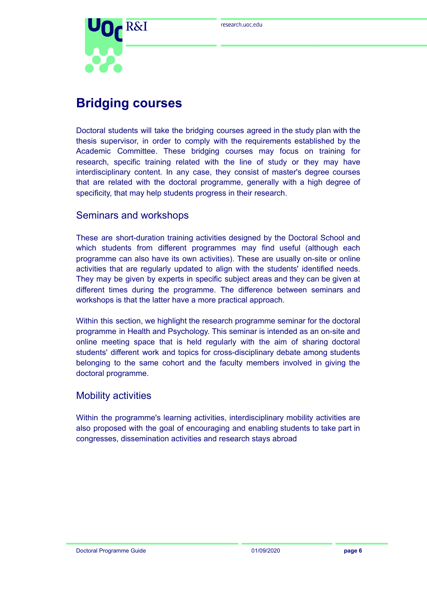

## <span id="page-5-0"></span>**Bridging courses**

Doctoral students will take the bridging courses agreed in the study plan with the thesis supervisor, in order to comply with the requirements established by the Academic Committee. These bridging courses may focus on training for research, specific training related with the line of study or they may have interdisciplinary content. In any case, they consist of master's degree courses that are related with the doctoral programme, generally with a high degree of specificity, that may help students progress in their research.

#### Seminars and workshops

These are short-duration training activities designed by the Doctoral School and which students from different programmes may find useful (although each programme can also have its own activities). These are usually on-site or online activities that are regularly updated to align with the students' identified needs. They may be given by experts in specific subject areas and they can be given at different times during the programme. The difference between seminars and workshops is that the latter have a more practical approach.

Within this section, we highlight the research programme seminar for the doctoral programme in Health and Psychology. This seminar is intended as an on-site and online meeting space that is held regularly with the aim of sharing doctoral students' different work and topics for cross-disciplinary debate among students belonging to the same cohort and the faculty members involved in giving the doctoral programme.

#### Mobility activities

Within the programme's learning activities, interdisciplinary mobility activities are also proposed with the goal of encouraging and enabling students to take part in congresses, dissemination activities and research stays abroad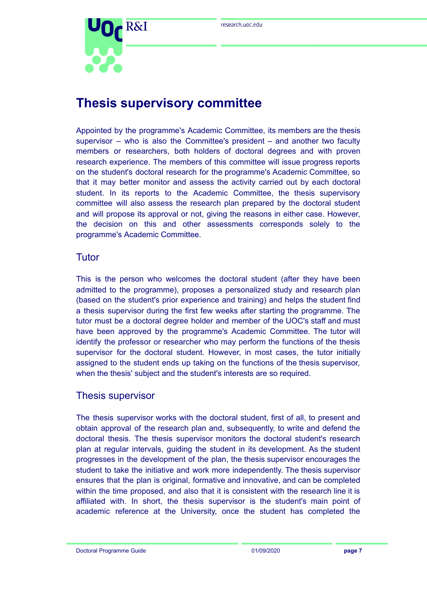

## <span id="page-6-0"></span>**Thesis supervisory committee**

Appointed by the programme's Academic Committee, its members are the thesis supervisor – who is also the Committee's president – and another two faculty members or researchers, both holders of doctoral degrees and with proven research experience. The members of this committee will issue progress reports on the student's doctoral research for the programme's Academic Committee, so that it may better monitor and assess the activity carried out by each doctoral student. In its reports to the Academic Committee, the thesis supervisory committee will also assess the research plan prepared by the doctoral student and will propose its approval or not, giving the reasons in either case. However, the decision on this and other assessments corresponds solely to the programme's Academic Committee.

#### Tutor

This is the person who welcomes the doctoral student (after they have been admitted to the programme), proposes a personalized study and research plan (based on the student's prior experience and training) and helps the student find a thesis supervisor during the first few weeks after starting the programme. The tutor must be a doctoral degree holder and member of the UOC's staff and must have been approved by the programme's Academic Committee. The tutor will identify the professor or researcher who may perform the functions of the thesis supervisor for the doctoral student. However, in most cases, the tutor initially assigned to the student ends up taking on the functions of the thesis supervisor, when the thesis' subject and the student's interests are so required.

#### Thesis supervisor

The thesis supervisor works with the doctoral student, first of all, to present and obtain approval of the research plan and, subsequently, to write and defend the doctoral thesis. The thesis supervisor monitors the doctoral student's research plan at regular intervals, guiding the student in its development. As the student progresses in the development of the plan, the thesis supervisor encourages the student to take the initiative and work more independently. The thesis supervisor ensures that the plan is original, formative and innovative, and can be completed within the time proposed, and also that it is consistent with the research line it is affiliated with. In short, the thesis supervisor is the student's main point of academic reference at the University, once the student has completed the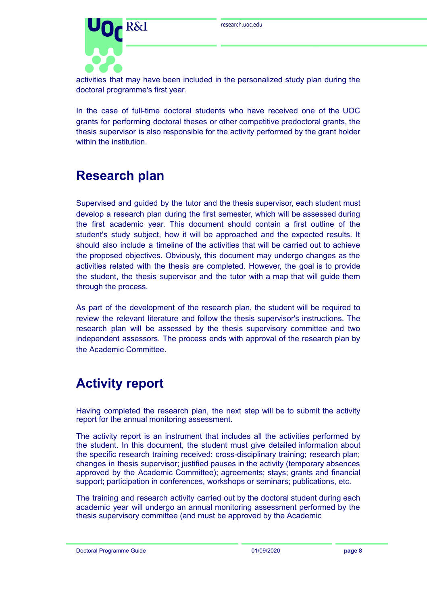

activities that may have been included in the personalized study plan during the doctoral programme's first year.

In the case of full-time doctoral students who have received one of the UOC grants for performing doctoral theses or other competitive predoctoral grants, the thesis supervisor is also responsible for the activity performed by the grant holder within the institution.

## <span id="page-7-0"></span>**Research plan**

Supervised and guided by the tutor and the thesis supervisor, each student must develop a research plan during the first semester, which will be assessed during the first academic year. This document should contain a first outline of the student's study subject, how it will be approached and the expected results. It should also include a timeline of the activities that will be carried out to achieve the proposed objectives. Obviously, this document may undergo changes as the activities related with the thesis are completed. However, the goal is to provide the student, the thesis supervisor and the tutor with a map that will guide them through the process.

As part of the development of the research plan, the student will be required to review the relevant literature and follow the thesis supervisor's instructions. The research plan will be assessed by the thesis supervisory committee and two independent assessors. The process ends with approval of the research plan by the Academic Committee.

## <span id="page-7-1"></span>**Activity report**

Having completed the research plan, the next step will be to submit the activity report for the annual monitoring assessment.

The activity report is an instrument that includes all the activities performed by the student. In this document, the student must give detailed information about the specific research training received: cross-disciplinary training; research plan; changes in thesis supervisor; justified pauses in the activity (temporary absences approved by the Academic Committee); agreements; stays; grants and financial support; participation in conferences, workshops or seminars; publications, etc.

The training and research activity carried out by the doctoral student during each academic year will undergo an annual monitoring assessment performed by the thesis supervisory committee (and must be approved by the Academic